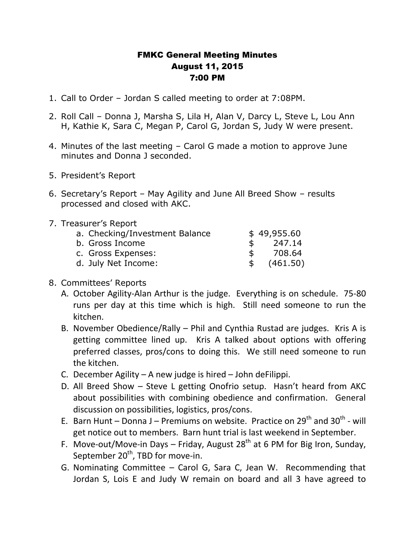## FMKC General Meeting Minutes August 11, 2015 7:00 PM

- 1. Call to Order Jordan S called meeting to order at 7:08PM.
- 2. Roll Call Donna J, Marsha S, Lila H, Alan V, Darcy L, Steve L, Lou Ann H, Kathie K, Sara C, Megan P, Carol G, Jordan S, Judy W were present.
- 4. Minutes of the last meeting Carol G made a motion to approve June minutes and Donna J seconded.
- 5. President's Report
- 6. Secretary's Report May Agility and June All Breed Show results processed and closed with AKC.
- 7. Treasurer's Report

| a. Checking/Investment Balance | \$49,955.60 |
|--------------------------------|-------------|
| b. Gross Income                | 247.14      |
| c. Gross Expenses:             | 708.64      |
| d. July Net Income:            | (461.50)    |

## 8. Committees' Reports

- A. October Agility-Alan Arthur is the judge. Everything is on schedule. 75-80 runs per day at this time which is high. Still need someone to run the kitchen.
- B. November Obedience/Rally Phil and Cynthia Rustad are judges. Kris A is getting committee lined up. Kris A talked about options with offering preferred classes, pros/cons to doing this. We still need someone to run the kitchen.
- C. December Agility A new judge is hired John deFilippi.
- D. All Breed Show Steve L getting Onofrio setup. Hasn't heard from AKC about possibilities with combining obedience and confirmation. General discussion on possibilities, logistics, pros/cons.
- E. Barn Hunt Donna J Premiums on website. Practice on 29<sup>th</sup> and 30<sup>th</sup> will get notice out to members. Barn hunt trial is last weekend in September.
- F. Move-out/Move-in Days Friday, August  $28<sup>th</sup>$  at 6 PM for Big Iron, Sunday, September  $20<sup>th</sup>$ , TBD for move-in.
- G. Nominating Committee Carol G, Sara C, Jean W. Recommending that Jordan S, Lois E and Judy W remain on board and all 3 have agreed to